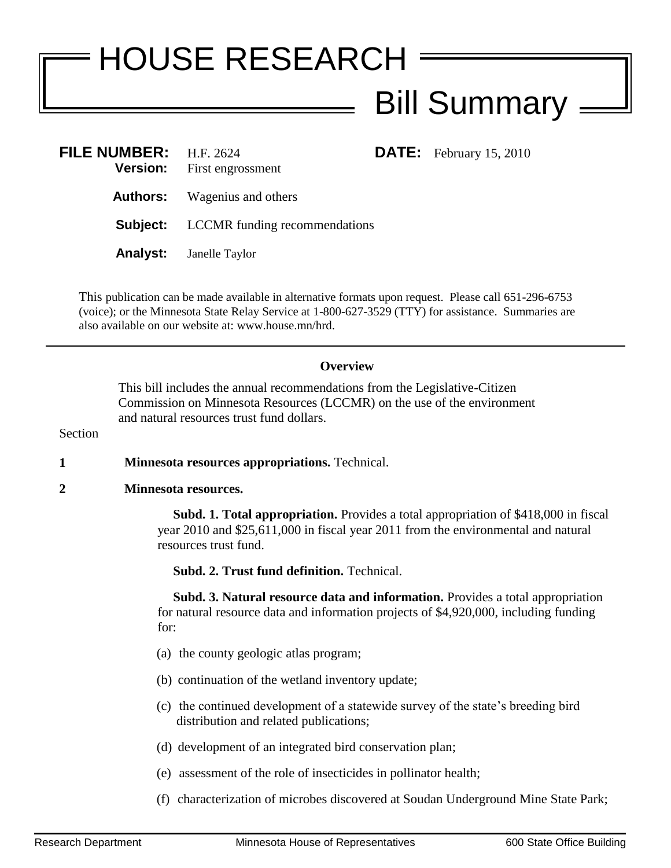## HOUSE RESEARCH Bill Summary

**DATE:** February 15, 2010

| FILE NUMBER: $H.F. 2624$<br><b>Version:</b> | First engrossment                             |
|---------------------------------------------|-----------------------------------------------|
|                                             | <b>Authors:</b> Wagenius and others           |
|                                             | <b>Subject:</b> LCCMR funding recommendations |
|                                             | <b>Analyst:</b> Janelle Taylor                |

This publication can be made available in alternative formats upon request. Please call 651-296-6753 (voice); or the Minnesota State Relay Service at 1-800-627-3529 (TTY) for assistance. Summaries are also available on our website at: www.house.mn/hrd.

## **Overview**

This bill includes the annual recommendations from the Legislative-Citizen Commission on Minnesota Resources (LCCMR) on the use of the environment and natural resources trust fund dollars.

Section

**1 Minnesota resources appropriations.** Technical.

## **2 Minnesota resources.**

 **Subd. 1. Total appropriation.** Provides a total appropriation of \$418,000 in fiscal year 2010 and \$25,611,000 in fiscal year 2011 from the environmental and natural resources trust fund.

**Subd. 2. Trust fund definition.** Technical.

 **Subd. 3. Natural resource data and information.** Provides a total appropriation for natural resource data and information projects of \$4,920,000, including funding for:

- (a) the county geologic atlas program;
- (b) continuation of the wetland inventory update;
- (c) the continued development of a statewide survey of the state's breeding bird distribution and related publications;
- (d) development of an integrated bird conservation plan;
- (e) assessment of the role of insecticides in pollinator health;
- (f) characterization of microbes discovered at Soudan Underground Mine State Park;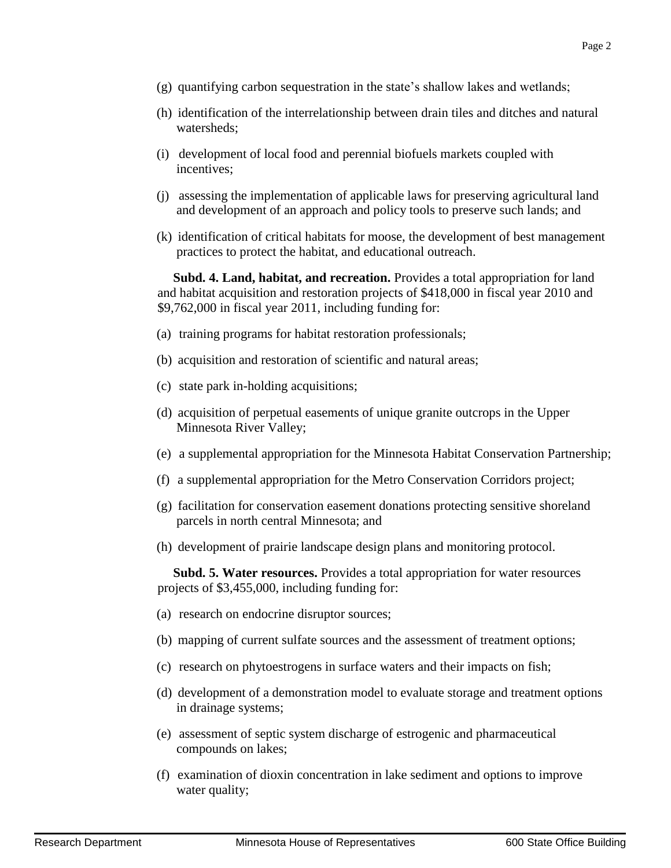- (g) quantifying carbon sequestration in the state's shallow lakes and wetlands;
- (h) identification of the interrelationship between drain tiles and ditches and natural watersheds;
- (i) development of local food and perennial biofuels markets coupled with incentives;
- (j) assessing the implementation of applicable laws for preserving agricultural land and development of an approach and policy tools to preserve such lands; and
- (k) identification of critical habitats for moose, the development of best management practices to protect the habitat, and educational outreach.

 **Subd. 4. Land, habitat, and recreation.** Provides a total appropriation for land and habitat acquisition and restoration projects of \$418,000 in fiscal year 2010 and \$9,762,000 in fiscal year 2011, including funding for:

- (a) training programs for habitat restoration professionals;
- (b) acquisition and restoration of scientific and natural areas;
- (c) state park in-holding acquisitions;
- (d) acquisition of perpetual easements of unique granite outcrops in the Upper Minnesota River Valley;
- (e) a supplemental appropriation for the Minnesota Habitat Conservation Partnership;
- (f) a supplemental appropriation for the Metro Conservation Corridors project;
- (g) facilitation for conservation easement donations protecting sensitive shoreland parcels in north central Minnesota; and
- (h) development of prairie landscape design plans and monitoring protocol.

 **Subd. 5. Water resources.** Provides a total appropriation for water resources projects of \$3,455,000, including funding for:

- (a) research on endocrine disruptor sources;
- (b) mapping of current sulfate sources and the assessment of treatment options;
- (c) research on phytoestrogens in surface waters and their impacts on fish;
- (d) development of a demonstration model to evaluate storage and treatment options in drainage systems;
- (e) assessment of septic system discharge of estrogenic and pharmaceutical compounds on lakes;
- (f) examination of dioxin concentration in lake sediment and options to improve water quality;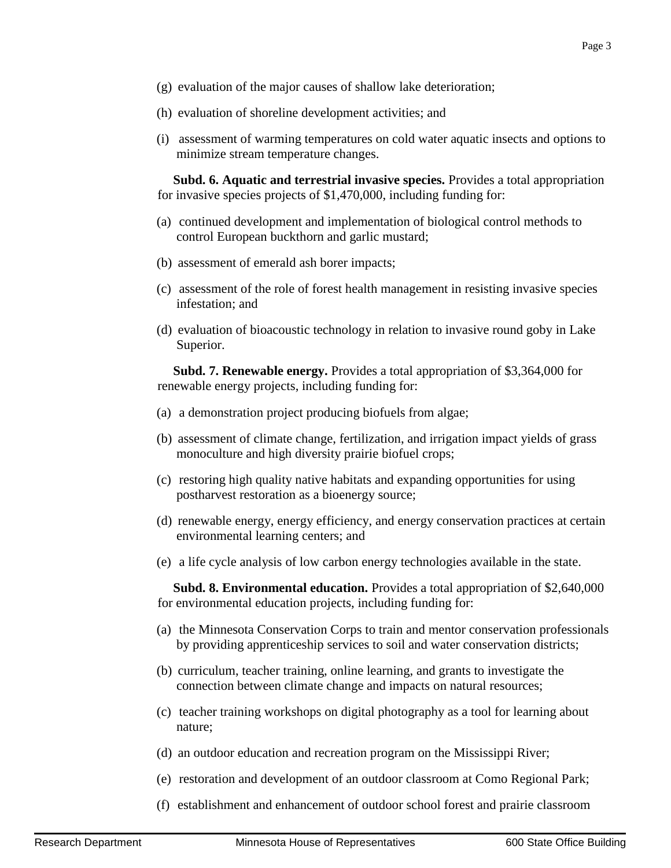- (g) evaluation of the major causes of shallow lake deterioration;
- (h) evaluation of shoreline development activities; and
- (i) assessment of warming temperatures on cold water aquatic insects and options to minimize stream temperature changes.

 **Subd. 6. Aquatic and terrestrial invasive species.** Provides a total appropriation for invasive species projects of \$1,470,000, including funding for:

- (a) continued development and implementation of biological control methods to control European buckthorn and garlic mustard;
- (b) assessment of emerald ash borer impacts;
- (c) assessment of the role of forest health management in resisting invasive species infestation; and
- (d) evaluation of bioacoustic technology in relation to invasive round goby in Lake Superior.

 **Subd. 7. Renewable energy.** Provides a total appropriation of \$3,364,000 for renewable energy projects, including funding for:

- (a) a demonstration project producing biofuels from algae;
- (b) assessment of climate change, fertilization, and irrigation impact yields of grass monoculture and high diversity prairie biofuel crops;
- (c) restoring high quality native habitats and expanding opportunities for using postharvest restoration as a bioenergy source;
- (d) renewable energy, energy efficiency, and energy conservation practices at certain environmental learning centers; and
- (e) a life cycle analysis of low carbon energy technologies available in the state.

 **Subd. 8. Environmental education.** Provides a total appropriation of \$2,640,000 for environmental education projects, including funding for:

- (a) the Minnesota Conservation Corps to train and mentor conservation professionals by providing apprenticeship services to soil and water conservation districts;
- (b) curriculum, teacher training, online learning, and grants to investigate the connection between climate change and impacts on natural resources;
- (c) teacher training workshops on digital photography as a tool for learning about nature;
- (d) an outdoor education and recreation program on the Mississippi River;
- (e) restoration and development of an outdoor classroom at Como Regional Park;
- (f) establishment and enhancement of outdoor school forest and prairie classroom